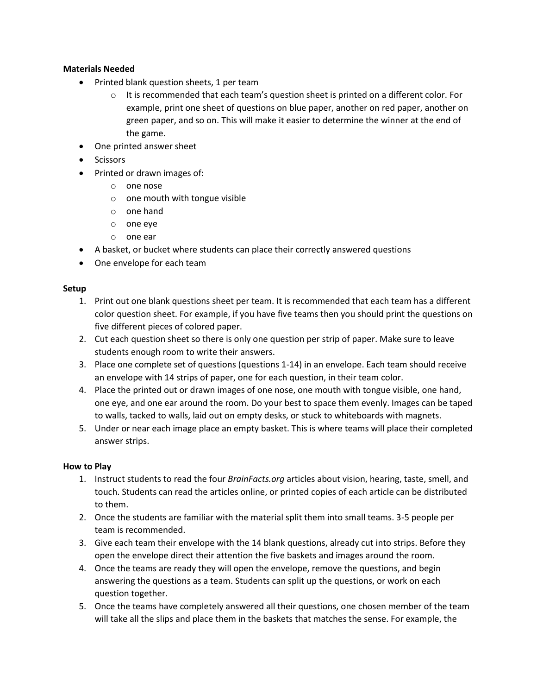## **Materials Needed**

- Printed blank question sheets, 1 per team
	- $\circ$  It is recommended that each team's question sheet is printed on a different color. For example, print one sheet of questions on blue paper, another on red paper, another on green paper, and so on. This will make it easier to determine the winner at the end of the game.
- One printed answer sheet
- **•** Scissors
- Printed or drawn images of:
	- o one nose
	- o one mouth with tongue visible
	- o one hand
	- o one eye
	- o one ear
- A basket, or bucket where students can place their correctly answered questions
- One envelope for each team

## **Setup**

- 1. Print out one blank questions sheet per team. It is recommended that each team has a different color question sheet. For example, if you have five teams then you should print the questions on five different pieces of colored paper.
- 2. Cut each question sheet so there is only one question per strip of paper. Make sure to leave students enough room to write their answers.
- 3. Place one complete set of questions (questions 1-14) in an envelope. Each team should receive an envelope with 14 strips of paper, one for each question, in their team color.
- 4. Place the printed out or drawn images of one nose, one mouth with tongue visible, one hand, one eye, and one ear around the room. Do your best to space them evenly. Images can be taped to walls, tacked to walls, laid out on empty desks, or stuck to whiteboards with magnets.
- 5. Under or near each image place an empty basket. This is where teams will place their completed answer strips.

## **How to Play**

- 1. Instruct students to read the four *BrainFacts.org* articles about vision, hearing, taste, smell, and touch. Students can read the articles online, or printed copies of each article can be distributed to them.
- 2. Once the students are familiar with the material split them into small teams. 3-5 people per team is recommended.
- 3. Give each team their envelope with the 14 blank questions, already cut into strips. Before they open the envelope direct their attention the five baskets and images around the room.
- 4. Once the teams are ready they will open the envelope, remove the questions, and begin answering the questions as a team. Students can split up the questions, or work on each question together.
- 5. Once the teams have completely answered all their questions, one chosen member of the team will take all the slips and place them in the baskets that matches the sense. For example, the